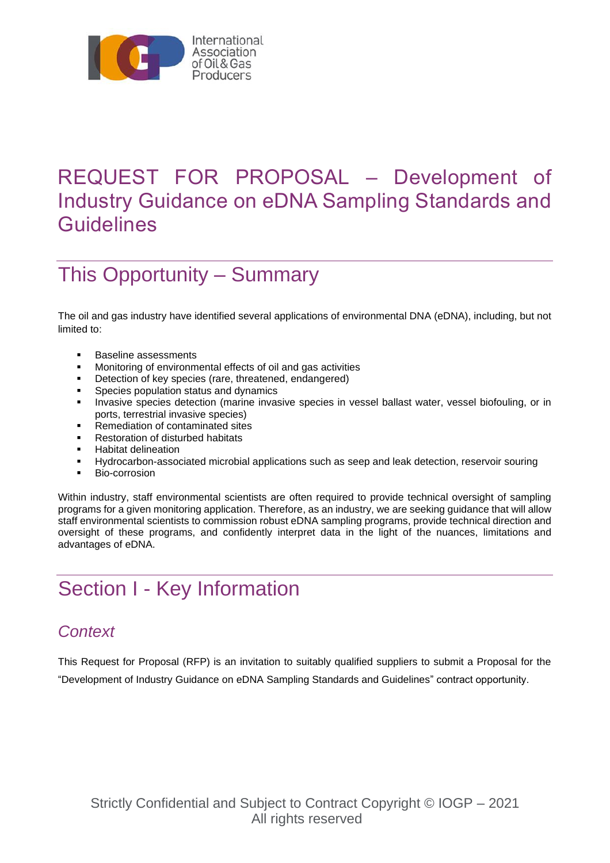

# REQUEST FOR PROPOSAL – Development of Industry Guidance on eDNA Sampling Standards and **Guidelines**

# This Opportunity – Summary

The oil and gas industry have identified several applications of environmental DNA (eDNA), including, but not limited to:

- Baseline assessments<br>■ Monitoring of environm
- Monitoring of environmental effects of oil and gas activities<br>■ Detection of key species (rare threatened endangered)
- Detection of key species (rare, threatened, endangered)<br>■ Species population status and dynamics
- Species population status and dynamics
- Invasive species detection (marine invasive species in vessel ballast water, vessel biofouling, or in ports, terrestrial invasive species)
- Remediation of contaminated sites
- **Restoration of disturbed habitats**
- Habitat delineation
- Hydrocarbon-associated microbial applications such as seep and leak detection, reservoir souring
- Bio-corrosion

Within industry, staff environmental scientists are often required to provide technical oversight of sampling programs for a given monitoring application. Therefore, as an industry, we are seeking guidance that will allow staff environmental scientists to commission robust eDNA sampling programs, provide technical direction and oversight of these programs, and confidently interpret data in the light of the nuances, limitations and advantages of eDNA.

# Section I - Key Information

### *Context*

This Request for Proposal (RFP) is an invitation to suitably qualified suppliers to submit a Proposal for the "Development of Industry Guidance on eDNA Sampling Standards and Guidelines" contract opportunity.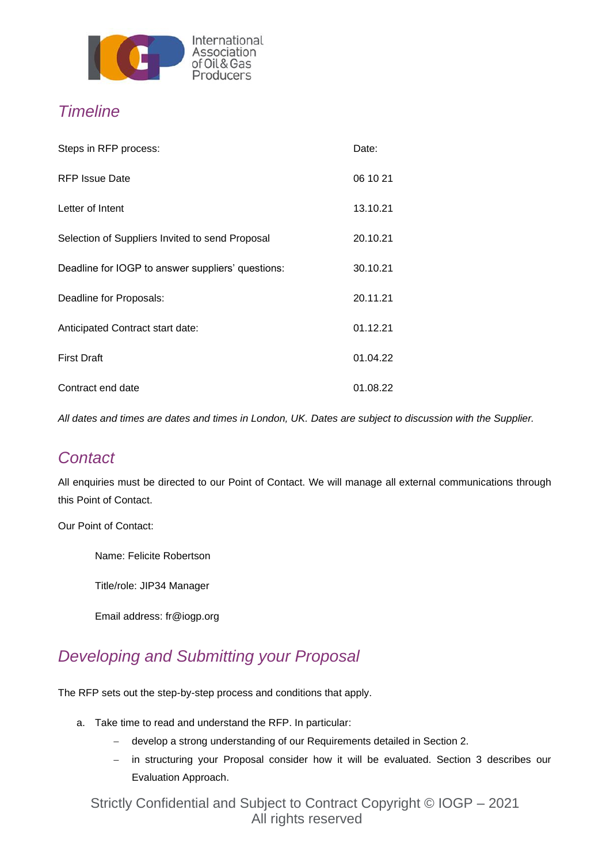

## *Timeline*

| Steps in RFP process:                             | Date:    |
|---------------------------------------------------|----------|
| <b>RFP Issue Date</b>                             | 06 10 21 |
| Letter of Intent                                  | 13.10.21 |
| Selection of Suppliers Invited to send Proposal   | 20.10.21 |
| Deadline for IOGP to answer suppliers' questions: | 30.10.21 |
| Deadline for Proposals:                           | 20.11.21 |
| Anticipated Contract start date:                  | 01.12.21 |
| <b>First Draft</b>                                | 01.04.22 |
| Contract end date                                 | 01.08.22 |

*All dates and times are dates and times in London, UK. Dates are subject to discussion with the Supplier.*

### *Contact*

All enquiries must be directed to our Point of Contact. We will manage all external communications through this Point of Contact.

Our Point of Contact:

Name: Felicite Robertson

Title/role: JIP34 Manager

Email address: fr@iogp.org

### *Developing and Submitting your Proposal*

The RFP sets out the step-by-step process and conditions that apply.

- a. Take time to read and understand the RFP. In particular:
	- − develop a strong understanding of our Requirements detailed in Section 2.
	- − in structuring your Proposal consider how it will be evaluated. Section 3 describes our Evaluation Approach.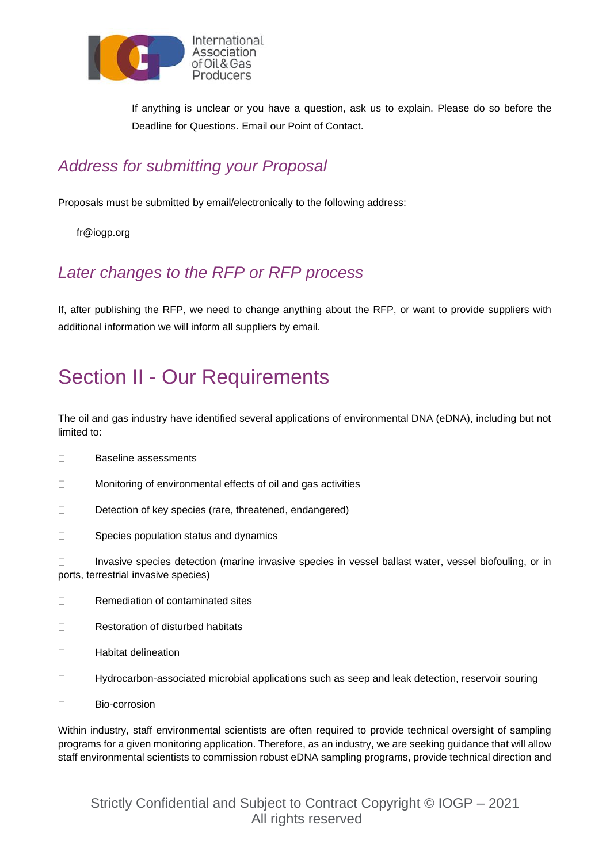

If anything is unclear or you have a question, ask us to explain. Please do so before the Deadline for Questions. Email our Point of Contact.

## *Address for submitting your Proposal*

Proposals must be submitted by email/electronically to the following address:

fr@iogp.org

### *Later changes to the RFP or RFP process*

If, after publishing the RFP, we need to change anything about the RFP, or want to provide suppliers with additional information we will inform all suppliers by email.

# Section II - Our Requirements

The oil and gas industry have identified several applications of environmental DNA (eDNA), including but not limited to:

- $\Box$ Baseline assessments
- $\Box$ Monitoring of environmental effects of oil and gas activities
- $\Box$ Detection of key species (rare, threatened, endangered)
- $\Box$ Species population status and dynamics

 $\Box$ Invasive species detection (marine invasive species in vessel ballast water, vessel biofouling, or in ports, terrestrial invasive species)

- $\Box$ Remediation of contaminated sites
- Restoration of disturbed habitats  $\Box$
- $\Box$ Habitat delineation
- $\Box$ Hydrocarbon-associated microbial applications such as seep and leak detection, reservoir souring
- $\Box$ Bio-corrosion

Within industry, staff environmental scientists are often required to provide technical oversight of sampling programs for a given monitoring application. Therefore, as an industry, we are seeking guidance that will allow staff environmental scientists to commission robust eDNA sampling programs, provide technical direction and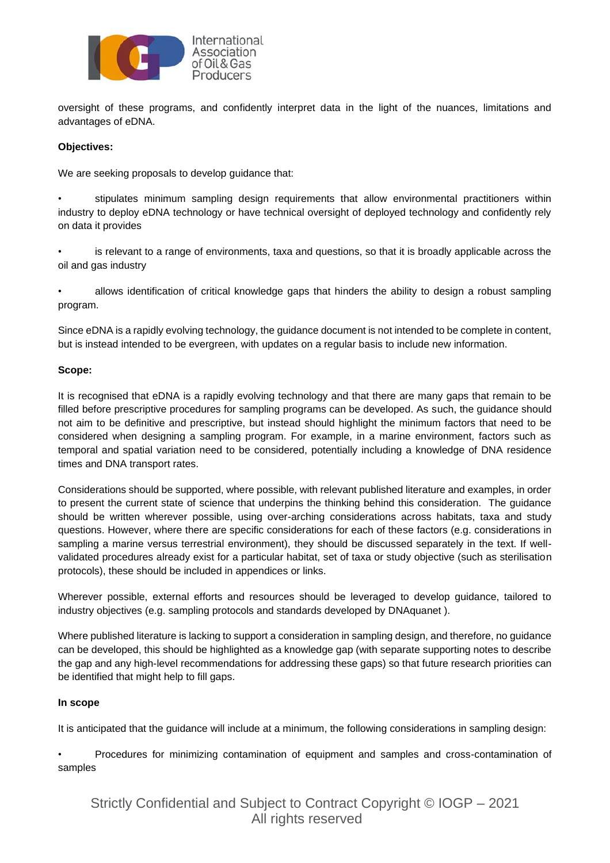

oversight of these programs, and confidently interpret data in the light of the nuances, limitations and advantages of eDNA.

#### **Objectives:**

We are seeking proposals to develop guidance that:

• stipulates minimum sampling design requirements that allow environmental practitioners within industry to deploy eDNA technology or have technical oversight of deployed technology and confidently rely on data it provides

• is relevant to a range of environments, taxa and questions, so that it is broadly applicable across the oil and gas industry

• allows identification of critical knowledge gaps that hinders the ability to design a robust sampling program.

Since eDNA is a rapidly evolving technology, the guidance document is not intended to be complete in content, but is instead intended to be evergreen, with updates on a regular basis to include new information.

#### **Scope:**

It is recognised that eDNA is a rapidly evolving technology and that there are many gaps that remain to be filled before prescriptive procedures for sampling programs can be developed. As such, the guidance should not aim to be definitive and prescriptive, but instead should highlight the minimum factors that need to be considered when designing a sampling program. For example, in a marine environment, factors such as temporal and spatial variation need to be considered, potentially including a knowledge of DNA residence times and DNA transport rates.

Considerations should be supported, where possible, with relevant published literature and examples, in order to present the current state of science that underpins the thinking behind this consideration. The guidance should be written wherever possible, using over-arching considerations across habitats, taxa and study questions. However, where there are specific considerations for each of these factors (e.g. considerations in sampling a marine versus terrestrial environment), they should be discussed separately in the text. If wellvalidated procedures already exist for a particular habitat, set of taxa or study objective (such as sterilisation protocols), these should be included in appendices or links.

Wherever possible, external efforts and resources should be leveraged to develop guidance, tailored to industry objectives (e.g. sampling protocols and standards developed by DNAquanet ).

Where published literature is lacking to support a consideration in sampling design, and therefore, no guidance can be developed, this should be highlighted as a knowledge gap (with separate supporting notes to describe the gap and any high-level recommendations for addressing these gaps) so that future research priorities can be identified that might help to fill gaps.

#### **In scope**

It is anticipated that the guidance will include at a minimum, the following considerations in sampling design:

• Procedures for minimizing contamination of equipment and samples and cross-contamination of samples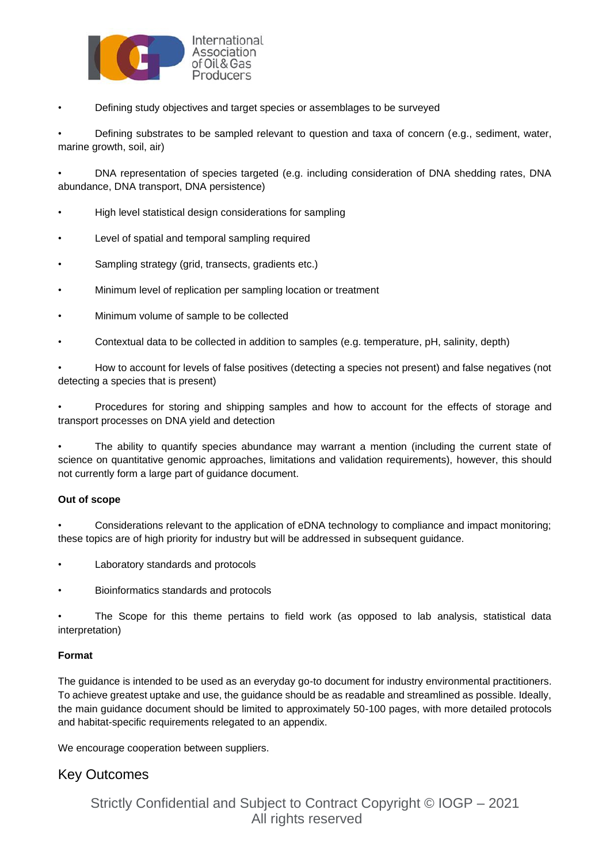

• Defining study objectives and target species or assemblages to be surveyed

• Defining substrates to be sampled relevant to question and taxa of concern (e.g., sediment, water, marine growth, soil, air)

• DNA representation of species targeted (e.g. including consideration of DNA shedding rates, DNA abundance, DNA transport, DNA persistence)

- High level statistical design considerations for sampling
- Level of spatial and temporal sampling required
- Sampling strategy (grid, transects, gradients etc.)
- Minimum level of replication per sampling location or treatment
- Minimum volume of sample to be collected
- Contextual data to be collected in addition to samples (e.g. temperature, pH, salinity, depth)

• How to account for levels of false positives (detecting a species not present) and false negatives (not detecting a species that is present)

• Procedures for storing and shipping samples and how to account for the effects of storage and transport processes on DNA yield and detection

• The ability to quantify species abundance may warrant a mention (including the current state of science on quantitative genomic approaches, limitations and validation requirements), however, this should not currently form a large part of guidance document.

#### **Out of scope**

• Considerations relevant to the application of eDNA technology to compliance and impact monitoring; these topics are of high priority for industry but will be addressed in subsequent guidance.

- Laboratory standards and protocols
- Bioinformatics standards and protocols

The Scope for this theme pertains to field work (as opposed to lab analysis, statistical data interpretation)

#### **Format**

The guidance is intended to be used as an everyday go-to document for industry environmental practitioners. To achieve greatest uptake and use, the guidance should be as readable and streamlined as possible. Ideally, the main guidance document should be limited to approximately 50-100 pages, with more detailed protocols and habitat-specific requirements relegated to an appendix.

We encourage cooperation between suppliers.

### Key Outcomes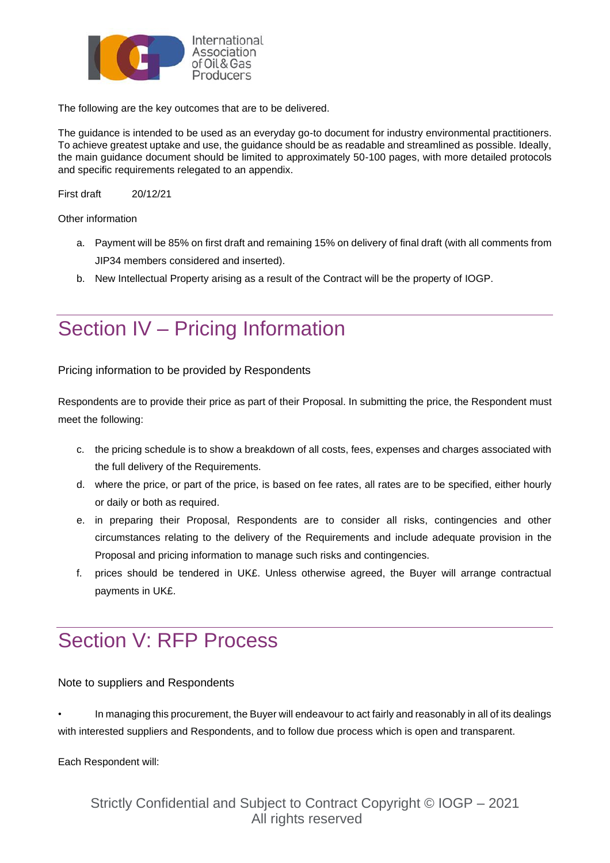

The following are the key outcomes that are to be delivered.

The guidance is intended to be used as an everyday go-to document for industry environmental practitioners. To achieve greatest uptake and use, the guidance should be as readable and streamlined as possible. Ideally, the main guidance document should be limited to approximately 50-100 pages, with more detailed protocols and specific requirements relegated to an appendix.

First draft 20/12/21

Other information

- a. Payment will be 85% on first draft and remaining 15% on delivery of final draft (with all comments from JIP34 members considered and inserted).
- b. New Intellectual Property arising as a result of the Contract will be the property of IOGP.

## Section IV – Pricing Information

Pricing information to be provided by Respondents

Respondents are to provide their price as part of their Proposal. In submitting the price, the Respondent must meet the following:

- c. the pricing schedule is to show a breakdown of all costs, fees, expenses and charges associated with the full delivery of the Requirements.
- d. where the price, or part of the price, is based on fee rates, all rates are to be specified, either hourly or daily or both as required.
- e. in preparing their Proposal, Respondents are to consider all risks, contingencies and other circumstances relating to the delivery of the Requirements and include adequate provision in the Proposal and pricing information to manage such risks and contingencies.
- f. prices should be tendered in UK£. Unless otherwise agreed, the Buyer will arrange contractual payments in UK£.

## Section V: RFP Process

Note to suppliers and Respondents

• In managing this procurement, the Buyer will endeavour to act fairly and reasonably in all of its dealings with interested suppliers and Respondents, and to follow due process which is open and transparent.

Each Respondent will: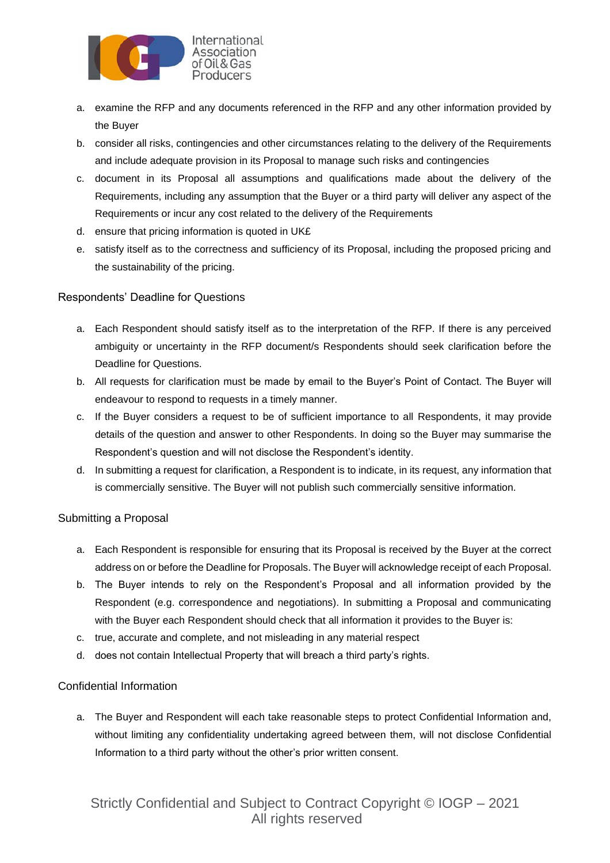

- a. examine the RFP and any documents referenced in the RFP and any other information provided by the Buyer
- b. consider all risks, contingencies and other circumstances relating to the delivery of the Requirements and include adequate provision in its Proposal to manage such risks and contingencies
- c. document in its Proposal all assumptions and qualifications made about the delivery of the Requirements, including any assumption that the Buyer or a third party will deliver any aspect of the Requirements or incur any cost related to the delivery of the Requirements
- d. ensure that pricing information is quoted in UK£
- e. satisfy itself as to the correctness and sufficiency of its Proposal, including the proposed pricing and the sustainability of the pricing.

#### Respondents' Deadline for Questions

- a. Each Respondent should satisfy itself as to the interpretation of the RFP. If there is any perceived ambiguity or uncertainty in the RFP document/s Respondents should seek clarification before the Deadline for Questions.
- b. All requests for clarification must be made by email to the Buyer's Point of Contact. The Buyer will endeavour to respond to requests in a timely manner.
- c. If the Buyer considers a request to be of sufficient importance to all Respondents, it may provide details of the question and answer to other Respondents. In doing so the Buyer may summarise the Respondent's question and will not disclose the Respondent's identity.
- d. In submitting a request for clarification, a Respondent is to indicate, in its request, any information that is commercially sensitive. The Buyer will not publish such commercially sensitive information.

#### Submitting a Proposal

- a. Each Respondent is responsible for ensuring that its Proposal is received by the Buyer at the correct address on or before the Deadline for Proposals. The Buyer will acknowledge receipt of each Proposal.
- b. The Buyer intends to rely on the Respondent's Proposal and all information provided by the Respondent (e.g. correspondence and negotiations). In submitting a Proposal and communicating with the Buyer each Respondent should check that all information it provides to the Buyer is:
- c. true, accurate and complete, and not misleading in any material respect
- d. does not contain Intellectual Property that will breach a third party's rights.

#### Confidential Information

a. The Buyer and Respondent will each take reasonable steps to protect Confidential Information and, without limiting any confidentiality undertaking agreed between them, will not disclose Confidential Information to a third party without the other's prior written consent.